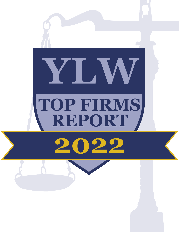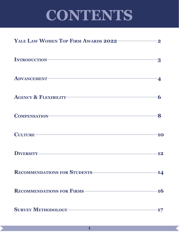# **CONTENTS**

| YALE LAW WOMEN TOP FIRM AWARDS 2022                                                                                                                                                                                                |       |
|------------------------------------------------------------------------------------------------------------------------------------------------------------------------------------------------------------------------------------|-------|
| INTRODUCTION-                                                                                                                                                                                                                      |       |
| ADVANCEMENT VALUE                                                                                                                                                                                                                  |       |
| AGENCY & FLEXIBILITY VALUE AND THE RESERVE TO A SERIES AND THE RESERVE TO A SERIES OF THE RESERVE TO A SERIES OF THE RESERVE TO A SERIES OF THE RESERVE TO A SERIES OF THE RESERVE TO A SERIES OF THE RESERVE TO A SERIES OF T     | 6     |
| COMPENSATION <b>COMPENSATION</b>                                                                                                                                                                                                   | 8     |
| CULTURE-                                                                                                                                                                                                                           | 10    |
| <b>DIVERSITY CONTROLLER THE CONTROLLER CONTROLLER THE CONTROLLER CONTROLLER CONTROLLER CONTROLLER CONTROLLER CONTROLLER CONTROLLER CONTROLLER CONTROLLER CONTROLLER CONTROLLER CONTROLLER CONTROLLER CONTROLLER CONTROLLER CON</b> | 12    |
| RECOMMENDATIONS FOR STUDENTS                                                                                                                                                                                                       | 14    |
| RECOMMENDATIONS FOR FIRMS-                                                                                                                                                                                                         | -16   |
| SURVEY METHODOLOGY METHODOLOGY                                                                                                                                                                                                     | $-17$ |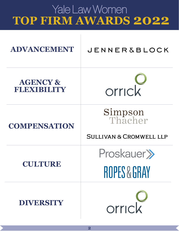## Yale Law Women **TOP FIRM AWARDS 2022**

| ADVANCEMENT                        | <b>JENNER &amp; BLOCK</b>                                       |
|------------------------------------|-----------------------------------------------------------------|
| <b>AGENCY &amp;</b><br>FLEXIBILITY | orrick                                                          |
| <b>COMPENSATION</b>                | <b>Simpson</b><br>Thacher<br><b>SULLIVAN &amp; CROMWELL LLP</b> |
| CULTURE                            | Proskauer >><br><b>ROPES &amp; GRAY</b>                         |
| <b>DIVERSITY</b>                   | orrick                                                          |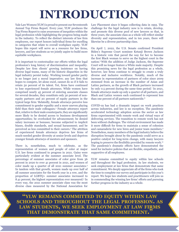## **INTRODUCTION**

Yale Law Women (YLW) is proud to present our Seventeenth Annual Top Firms Report. Every year, YLW produces the Top Firms Report to raise awareness of inequities within the legal profession while highlighting the progress being made in the industry. To reflect the distinct interests of law firm employees, our report honors individual firms for excelling in categories that relate to overall workplace equity. YLW hopes this report will serve as a resource for law firms, lawyers, and law students as we jointly aspire to build more equitable workplaces.

It is important to contextualize our efforts within the legal profession's long history of discrimination and inequality. Despite law firm clients' growing insistence on having diverse legal teams, many of the historic disparities in the legal industry persist today. Working toward gender parity is no longer just a moral imperative; any law firm that hopes to compete, let alone excel, cannot do so if it fails to retain 50 percent of its talent. Yet, firms have continued to lose experienced female attorneys. While women have comprised nearly 45 percent of entering associate classes for several decades, they constitute only 30 percent of nonequity partners and 20 percent of equity partners in the typical large firm.1 Relatedly, female attorneys perceive less commitment to gender equality and a more uneven playing field than their male colleagues.<sup>2</sup> Female attorneys report that, relative to their male counterparts, they are significantly more likely to be denied access to business development opportunities; be overlooked for advancement; be denied salary increases or bonuses; become subjected to implicit biases, double standards, and sexual harassment; and be perceived as less committed to their careers.3 The attrition of experienced female attorneys deprives law firms of much-needed gender diversity at senior levels and deprives younger female attorneys of mentors and sponsors.

There is, nonetheless, much to celebrate, as the representation of women and people of color at major U.S. law firms continued to progress in 2021. Gains were particularly evident at the summer associate level. The percentage of summer associates of color grew from 36 percent in 2020 to over 41 percent in 2021, and women of color made up a quarter of all 2021 summer associates.4 In tandem with that growth, women made up over half of all summer associates for the fourth year in a row, and the proportion of LGBTQ+ summer associates increased to 8.41 percent, the highest representation ever measured.<sup>5</sup> In every way, the 2021 summer associate class was the most diverse class measured by the National Association for

Law Placement since it began collecting data in 1993. The challenge for the legal industry now is to retain, develop, and promote this diverse pool of new lawyers so that, in three years, the associate class as a whole will reflect similar diversity and representation, and in ten years, there will likewise be a diverse partnership class.

On April 7, 2022, the U.S. Senate confirmed President Biden's Supreme Court nominee Ketanji Brown Jackson in a historic vote that paved the way for her to become the first Black woman to serve on the highest court in the nation.6 With the addition of Judge Jackson, the Supreme Court will no longer feature a White male majority. Despite this promising news for the legal profession as a whole, however, law firms continue to struggle to create a truly diverse and inclusive workforce. Notably, much of the increase in representation of partners of color since 2009 stemmed from an increase in the number of Asian and Latinx partners, as the growth of Black partners increased by only 0.5 percent during the same time period.7 In 2021, female attorneys made up only a quarter of all partners, and Black and Latinx women each continued to represent less than one percent of all partners nationwide.<sup>8</sup>

COVID-19 has had a dramatic impact on work practices across industries, and law is no exception. The pandemic accelerated technology adoption across the sector as law firms experimented with remote work and virtual ways of delivering services. The transition to remote work has not been without challenges. The virtual environment has made it more difficult for firms to maintain a sense of cohesion and camaraderie for new hires and junior team members.9 Nonetheless, many members of the legal industry believe the disruption brought about by the pandemic could serve as a positive catalyst for long-term change, with many lawyers hoping to preserve the flexibility provided by remote work.<sup>10</sup> The pandemic's dramatic effects have demonstrated the need for inclusive policies that are flexible, empathetic, and supportive of all employees.

YLW remains committed to equity within law schools and throughout the legal profession. As law students, we seek employment at law firms that demonstrate that same commitment. We deeply appreciate all of the firms who took the time to complete our survey and participate in this year's report. We hope law students and practitioners will join us in commending the winning law firms' efforts and pursuing further progress in the industry as a whole.

**"ylw remains committed to equity within law schools and throughout the legal profession. as law students, we seek employment at law firms that demonstrate that same commitment."**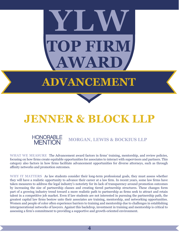# **TOP FIRM WAI YLW**

# **ADVANCEMENT**



## **JENNER & BLOCK LLP**

### HONORABLE **MORGAN, LEWIS & BOCKIUS LLP** MENTION

**WHAT WE MEASURE** The Advancement award factors in firms' training, mentorship, and review policies, focusing on how firms create equitable opportunities for associates to interact with supervisors and partners. This category also factors in how firms facilitate advancement opportunities for diverse attorneys, such as through affinity networks and promotion outcomes.

**WHY IT MATTERS** As law students consider their long-term professional goals, they must assess whether they will have a realistic opportunity to advance their career at a law firm. In recent years, some law firms have taken measures to address the legal industry's notoriety for its lack of transparency around promotion outcomes by increasing the size of partnership classes and creating tiered partnership structures. These changes form part of a growing industry trend toward a more realistic path to partnership as firms seek to attract and retain talent in a competitive job market. Even if law students are not interested in pursuing the partnership path, the greatest capital law firms bestow unto their associates are training, mentorship, and networking opportunities. Women and people of color often experience barriers to training and mentorship due to challenges in establishing intergenerational networks of lawyers. Against this backdrop, investment in training and mentorship is critical to assessing a firm's commitment to providing a supportive and growth-oriented environment.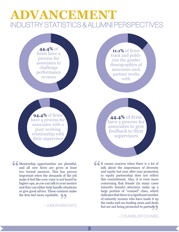## **DVANCEMENT** INDUSTRY STATISTICS & ALUMNI PERSPECTIVES

**44.4%** of firms have a process for associates to challenge performance reviews

**11.1%** of firms track and publicize the gender demographics of associates each partner works with

**94.4%** of firms have a process for associates with a poor working relationship with their supervisor

**44.4%** of firms have a process for associates to give feedback to their supervisors

Confluentership opportunities are plentiful, and all new hires are given at least two formal mentors. This has proven important when the demands of the job and all new hires are given at least two formal mentors. This has proven important when the demands of the job make it feel like your voice is not heard by higher-ups, as you can talk to your mentor and they can either help handle situations or give good advice. These contacts make the firm feel more equitable.  $\bullet$ **99**<br>NSSC

– JUNIOR ASSOCIATE

It causes concern when there is a lot of talk about the importance of diversity and equity but year after year promotion to equity partnership does not reflect talk about the importance of diversity and equity but year after year promotion to equity partnership does not reflect this commitment. Also, it is even more concerning that female (in many cases minority female) attorneys make up a large portion of "counsel" class, which indicates that there is a significant number of minority women who have made it up the ranks and are leading cases and deals but are not being promoted to partner.<br>  $-COUNSEL/OF COUNSEL$ 

– COUNSEL/OF COUNSEL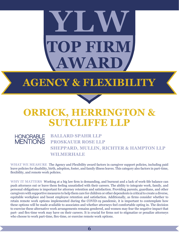# **TOP FIRM**  $\mathbf{W}$ AR **YLW**

## **AGENCY & FLEXIBILITY**



## **ORRICK, HERRINGTON & SUTCLIFFE LLP**

#### HONORABLE **BALLARD SPAHR LLP PROSKAUER ROSE LLP SHEPPARD, MULLIN, RICHTER & HAMPTON LLP WILMERHALE MENTIONS**

**WHAT WE MEASURE** The Agency and Flexibility award factors in caregiver support policies, including paid leave policies for disability, birth, adoption, foster, and family illness leaves. This category also factors in part-time, flexibility, and remote work policies.

**WHY IT MATTERS** Working at a big law firm is demanding, and burnout and a lack of work-life balance can push attorneys out or leave them feeling unsatisfied with their careers. The ability to integrate work, family, and personal obligations is important for attorney retention and satisfaction. Providing parents, guardians, and other caregivers with supportive measures to help them care for children or other dependents is critical to create a diverse, equitable workplace and boost employee retention and satisfaction. Additionally, as firms consider whether to retain remote work options implemented during the COVID-19 pandemic, it is important to contemplate how these options will be made available to associates and whether attorneys feel comfortable opting in. The decision to exercise these alternative work arrangements remains gendered, and women may fear the negative impact that part- and flex-time work may have on their careers. It is crucial for firms not to stigmatize or penalize attorneys who choose to work part-time, flex-time, or exercise remote work options.

**6**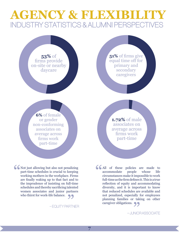## **AGENCY & FLEXIBILITY** INDUSTRY STATISTICS & ALUMNI PERSPECTIVES

**53%** of firms provide on-site or nearby daycare

**51%** of firms give equal time off for primary and secondary caregivers

**6%** of female or gender non-conforming associates on average across firms work part-time

**1.72%** of male associates on average across firms work part-time

K Not just allowing but also not penalizing<br>part-time schedules is crucial to keeping<br>working mothers in the workplace. Firms<br>are finally waking up to that fact and to part-time schedules is crucial to keeping working mothers in the workplace. Firms are finally waking up to that fact and to the imprudence of insisting on full-time schedules and thereby sacrificing talented women associates and junior partners who thirst for work-life balance. **99**<br>NRTN

– EQUITY PARTNER

**7**

CAll of these policies are made to accommodate people whose life circumstances make it impossible to work full-time as the firm defines it. This is a true accommodate people whose life circumstances make it impossible to work full-time as the firm defines it. This is a true reflection of equity and accommodating diversity, and it is important to know that reduced schedules are available and not penalized, especially for employees planning families or taking on other caregiver obligations.  $\bigcirc$  $\frac{1}{\sqrt{2}}$ 

– JUNIOR ASSOCIATE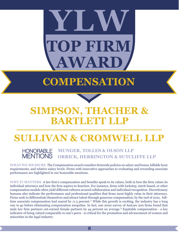# **TOP FIRM**  $\mathbf{WAR}$ **YLW**

## **COMPENSATION**



### **SIMPSON, THACHER & BARTLETT LLP \_\_\_\_\_\_\_\_\_\_\_\_\_\_\_\_\_\_\_\_**

## **SULLIVAN & CROMWELL LLP**

HONORABLE **MUNGER, TOLLES & OLSON LLP ORRICK, HERRINGTON & SUTCLIFFE LLP** 

**WHAT WE MEASURE** The Compensation award considers firmwide policies on salary and bonus, billable hour requirements, and relative salary levels. Firms with innovative approaches to evaluating and rewarding associate performance are highlighted in our honorable mentions.

**WHY IT MATTERS** A law firm's compensation and benefits speak to its values, both in how the firm values its individual attorneys and how the firm aspires to function. For instance, firms with lockstep, merit-based, or other compensation models often yield different cultures around collaboration and individual recognition. Discretionary bonuses also indicate the performance and professional qualities that firms most highly value in their attorneys. Firms seek to differentiate themselves and attract talent through generous compensation; by the end of 2021, fulltime associate compensation had soared by 11.3 percent.<sup>11</sup> While this growth is exciting, the industry has a long way to go before eliminating compensation inequities. In fact, one 2020 survey of AmLaw 200 firms found that male law firm partners out-earned female partners by 44 percent on average.<sup>12</sup> Equitable compensation - a key indicator of being valued comparably to one's peers - is critical for the promotion and advancement of women and minorities in the legal industry.

**8**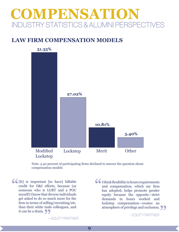## **COMPENSATION** INDUSTRY STATISTICS & ALUMNI PERSPECTIVES

### **LAW FIRM COMPENSATION MODELS**



Note: 5.40 percent of participating firms declined to answer the question about compensation models

C [It] is important [to have] billable credit for D&I efforts, because (as someone who is LGBT and a POC myself) I know that diverse individuals credit for D&I efforts, because (as someone who is LGBT and a POC myself) I know that diverse individuals get asked to do so much more for the firm in terms of selling/recruiting/etc. than their white male colleagues, and it can be a drain.

– EQUITY PARTNER

I think flexibility in hours requirements and compensation, which my firm has adopted, helps promote gender equity because the opposite—strict demands in hours worked and lockstep compensation—creates an atmosphere of privilege and exclusion. **nale colleagues, and atmosphere of privilege and exclusion. <br>
9 <br>
9 - EQUITY PARTNER<br>
- EQUITY PARTNER<br>
- EQUITY PARTNER** "

– EQUITY PARTNER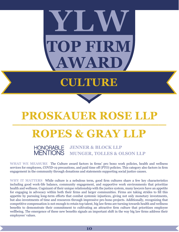# **TOP FIRM AWARD YLW**

# **CULTURE**



### **PROSKAUER ROSE LLP \_\_\_\_\_\_\_\_\_\_\_\_\_\_\_\_\_\_\_\_**

## **ROPES & GRAY LLP**

HONORABLE **JENNER & BLOCK LLP MUNGER, TOLLES & OLSON LLP** 

**WHAT WE MEASURE** The Culture award factors in firms' pro bono work policies, health and wellness services for employees, COVID-19 precautions, and paid time off (PTO) policies. This category also factors in firm engagement in the community through donations and statements supporting social justice causes.

**WHY IT MATTERS** While culture is a nebulous term, good firm cultures share a few key characteristics including good work-life balance, community engagement, and supportive work environments that prioritize health and wellness. Cognizant of their unique relationship with the justice system, many lawyers have an appetite for engaging in advocacy within both their firms and larger communities. Firms are taking strides to fill this appetite by pursuing long-term efforts that combat systemic injustices, giving not only monetary investments, but also investments of time and resources through impressive pro bono projects. Additionally, recognizing that competitive compensation is not enough to retain top talent, big law firms are turning towards health and wellness benefits to demonstrate their commitment to cultivating an attractive firm culture that prioritizes employee wellbeing. The emergence of these new benefits signals an important shift in the way big law firms address their employees' values.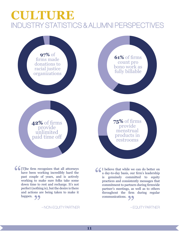## **CULTURE** INDUSTRY STATISTICS & ALUMNI PERSPECTIVES



C [T]he firm recognizes that all attorneys have been working incredibly hard the past couple of years, and is actively working to make sure folks take some have been working incredibly hard the past couple of years, and is actively working to make sure folks take some down time to rest and recharge. It's not perfect (nothing is), but the desire is there and actions are being taken to make it happen. 99

– NON-EQUITY PARTNER – EQUITY PARTNER

COM I believe that while we can do better on<br>
a day-to-day basis, our firm's leadership<br>
is genuinely committed to equity<br>
practices and consistently messages that<br>
semmiting the north on during function a day-to-day basis, our firm's leadership is genuinely committed to equity practices and consistently messages that commitment to partners during firmwide partner's meetings, as well as to others throughout the firm during regular communications. 99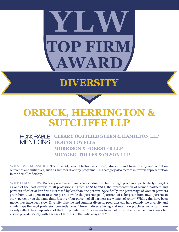# **TOP FIRM**  $\mathbf{V}\mathbf{A}\mathbf{I}$ **YLW**

## **DIVERSITY**



### **ORRICK, HERRINGTON & SUTCLIFFE LLP**

### HONORABLE **CLEARY GOTTLIEB STEEN & HAMILTON LLP MENTIONS HOGAN LOVELLS MORRISON & FOERSTER LLP MUNGER, TOLLES & OLSON LLP**

**WHAT WE MEASURE** The Diversity award factors in attorney diversity and firms' hiring and retention outcomes and initiatives, such as summer diversity programs. This category also factors in diverse representation in the firms' leadership.

**WHY IT MATTERS** Diversity remains an issue across industries, but the legal profession particularly struggles as one of the least diverse of all professions.13 From 2020 to 2021, the representation of women partners and partners of color at law firms increased by less than one percent. Specifically, the percentage of women partners grew from 25.05 percent to 25.92 percent while the percentage of partners of color grew from 10.23 percent to 10.75 percent.14 At the same time, just over four percent of all partners are women of color.15 While gains have been made, they have been slow. Diversity pipeline and summer diversity programs can help remedy the diversity and equity gaps the legal profession currently faces. Through diverse hiring and retention practices, firms can more closely reflect the composition of the U.S. population. This enables firms not only to better serve their clients but also to provide society with a sense of fairness in the judicial system.16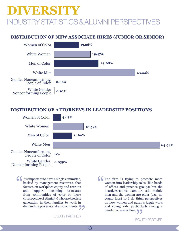## INDUSTRY STATISTICS & ALUMNI PERSPECTIVES **DIVERSITY**

### **DISTRIBUTION OF NEW ASSOCIATE HIRES (JUNIOR OR SENIOR)**



#### **DISTRIBUTION OF ATTORNEYS IN LEADERSHIP POSITIONS**



It's important to have a single committee, backed by management resources, that focuses on workplace equity and recruits and supports incoming associates backed by management resources, that focuses on workplace equity and recruits and supports incoming associates from communities of color or those (irrespective of ethnicity) who are the first generation in their families to work in demanding professional environments.<br>  $-$ EQUITYPARTNER

– EQUITY PARTNER

Comes The firm is trying to promote more women into leadership roles (like heads of offices and practice groups) but the board/executive team are still mainly women into leadership roles (like heads of offices and practice groups) but the board/executive team are still mainly men and the women are older (e.g., no young kids) so I do think perspectives on how women and parents juggle work and young kids, particularly during a pandemic, are lacking.<br>
-EQU<br>
-EQU

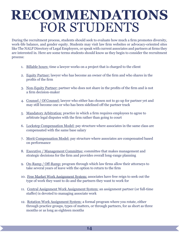# **RECOMMENDATIONS** FOR STUDENTS

During the recruitment process, students should seek to evaluate how much a firm promotes diversity, work-life balance, and gender equity. Students may visit law firm websites or advocacy-oriented sites like The NALP Directory of Legal Employers, or speak with current associates and partners at firms they are interested in. Here are some terms students should know as they begin to consider the recruitment process:

- 1. Billable hours: time a lawyer works on a project that is charged to the client
- 2. Equity Partner: lawyer who has become an owner of the firm and who shares in the profits of the firm
- 3. Non-Equity Partner: partner who does not share in the profits of the firm and is not a firm decision-maker
- 4. Counsel / Of Counsel: lawyer who either has chosen not to go up for partner yet and may still become one or who has been sidelined off the partner track
- 5. Mandatory Arbitration: practice in which a firm requires employees to agree to arbitrate legal disputes with the firm rather than going to court
- 6. Lockstep Compensation Model: pay structure where associates in the same class are compensated with the same base salary
- 7. Merit Compensation Model: pay structure where associates are compensated based on performance
- 8. Executive / Management Committee: committee that makes management and strategic decisions for the firm and provides overall long-range planning
- 9. On-Ramp / Off-Ramp: program through which law firms allow their attorneys to take several years of leave with the option to return to the firm
- 10. Free Market Work Assignment System: associates have free reign to seek out the type of work they want to do and the partners they want to work for
- 11. Central Assignment Work Assignment System: an assignment partner (or full-time staffer) is devoted to managing associate work
- 12. Rotation Work Assignment System: a formal program where you rotate, either through practice groups, types of matters, or through partners, for as short as three months or as long as eighteen months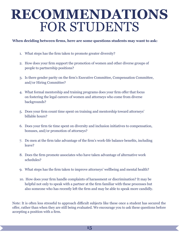# **RECOMMENDATIONS** FOR STUDENTS

#### **When deciding between firms, here are some questions students may want to ask:**

- 1. What steps has the firm taken to promote greater diversity?
- 2. How does your firm support the promotion of women and other diverse groups of people to partnership positions?
- 3. Is there gender parity on the firm's Executive Committee, Compensation Committee, and/or Hiring Committee?
- 4. What formal mentorship and training programs does your firm offer that focus on fostering the legal careers of women and attorneys who come from diverse backgrounds?
- 5. Does your firm count time spent on training and mentorship toward attorneys' billable hours?
- 6. Does your firm tie time spent on diversity and inclusion initiatives to compensation, bonuses, and/or promotion of attorneys?
- 7. Do men at the firm take advantage of the firm's work-life balance benefits, including leave?
- 8. Does the firm promote associates who have taken advantage of alternative work schedules?
- 9. What steps has the firm taken to improve attorneys' wellbeing and mental health?
- 10. How does your firm handle complaints of harassment or discrimination? It may be helpful not only to speak with a partner at the firm familiar with these processes but also someone who has recently left the firm and may be able to speak more candidly.

Note: It is often less stressful to approach difficult subjects like these once a student has secured the offer, rather than when they are still being evaluated. We encourage you to ask these questions before accepting a position with a firm.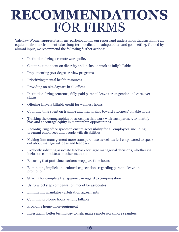# **RECOMMENDATIONS** FOR FIRMS

Yale Law Women appreciates firms' participation in our report and understands that sustaining an equitable firm environment takes long-term dedication, adaptability, and goal-setting. Guided by alumni input, we recommend the following further actions:

- Institutionalizing a remote work policy
- Counting time spent on diversity and inclusion work as fully billable
- Implementing 360-degree review programs
- Prioritizing mental health resources
- Providing on-site daycare in all offices
- Institutionalizing generous, fully-paid parental leave across gender and caregiver status
- Offering lawyers billable credit for wellness hours
- Counting time spent on training and mentorship toward attorneys' billable hours
- Tracking the demographics of associates that work with each partner, to identify bias and encourage equity in mentorship opportunities
- Reconfiguring office spaces to ensure accessibility for all employees, including pregnant employees and people with disabilities
- Making firm management more transparent so associates feel empowered to speak out about managerial ideas and feedback
- Explicitly soliciting associate feedback for large managerial decisions, whether via inclusion committees or other methods
- Ensuring that part-time workers keep part-time hours
- Eliminating implicit and cultural expectations regarding parental leave and promotion
- Striving for complete transparency in regard to compensation
- Using a lockstep compensation model for associates
- Eliminating mandatory arbitration agreements
- Counting pro bono hours as fully billable
- Providing home office equipment
- Investing in better technology to help make remote work more seamless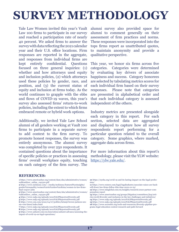## **SURVEY METHODOLOGY**

Yale Law Women invited this year's Vault Law 100 firms to participate in our survey and reached a participation rate of nearly 40 percent. We asked firms to answer the survey with data reflecting the 2021 calendar year and their U.S. office locations. Firm responses are reported in the aggregate, and responses from individual firms are kept entirely confidential. Questions focused on three general inquiries: (1) whether and how attorneys used equity and inclusion policies, (2) which attorneys used these policies by gender, race, and position, and (3) the current status of equity and inclusion at firms today. As the world continues to grapple with the ebbs and flows of COVID-19 waves, this year's survey also assessed firms' return-to-work policies, including the extent to which firms embraced remote or hybrid work options.

Additionally, we invited Yale Law School alumni of all genders working at Vault 100 firms to participate in a separate survey to add context to the firm survey. To promote honest responses, the survey was entirely anonymous. The alumni survey was completed by over 250 respondents. It contained questions about the importance of specific policies or practices in assessing firms' overall workplace equity, touching on each category of the firm survey. The

alumni survey also provided space for alumni to comment generally on their assessment of firm practices and norms. These responses were incorporated into the tops firms report as unattributed quotes, to maintain anonymity and provide a qualitative perspective.

This year, we honor six firms across five categories. Categories were determined by evaluating key drivers of associate happiness and success. Category honorees are selected by tabulating metrics scores for each individual firm based on their survey responses. Please note that categories are presented in alphabetical order and that each individual category is assessed independent of the others.

Industry metrics are presented alongside each category in this report. For each section, selected data are aggregated and displayed to capture how all survey respondents report performing for a particular question related to the overall category. Some graphics, where marked, aggregate data across firms.

For more information about this report's methodology, please visit the YLW website: https://ylw.yale.edu/.

#### **REFERENCES:**

**1** https://www.americanbar.org/content/dam/aba/administrative/women/ walkoutdoor\_online\_042320.pdf

**2** https://www.mckinsey.com/~/media/mckinsey/featured%20insights/ gender%20equality/women%20in%20law%20firms/women-in-law-firmsfinal-103017.ashx

- **3** https://www.americanbar.org/content/dam/aba/administrative/women/ walkoutdoor\_online\_042320.pdf
- **4** https://www.nalp.org/uploads/2021NALPReportonDiversity.pdf
- **5** https://www.nalp.org/uploads/2021NALPReportonDiversity.pdf
- **6** https://www.cnn.com/2022/04/07/politics/ketanji-brown-jackson-senate-vote-latest/index.html
- **7** https://www.nalp.org/uploads/2021NALPReportonDiversity.pdf

**8** https://www.nalp.org/uploads/2021NALPReportonDiversity.pdf **9** https://www.ashurst.com/en/innovation/ashurst-advance/assessing-theimpact-of-covid-19-on-legal-operations/

 https://www.americanbar.org/groups/litigation/committees/jiop/articles/2018/diversity-and-inclusion-in-the-law-challenges-and-initiatives/ https://www.nalp.org/uploads/2021NALPReportonDiversity.pdf https://www.nalp.org/uploads/2021NALPReportonDiversity.pdf

**16** https://www.accesslex.org/tools-and-resources/diversity-pipeline-programs-legal-education-context-research-and-path-forward

**<sup>10</sup>** https://nysba.org/covid-19-and-its-lasting-impact-on-the-legal-profession/

**<sup>11</sup>** https://www.reuters.com/legal/legalindustry/associate-raises-are-backwill-fewer-law-firms-follow-this-time-2022-01-25/

**<sup>12</sup>** https://www.mlaglobal.com/en/insights/research/2020-partner-compensation-report